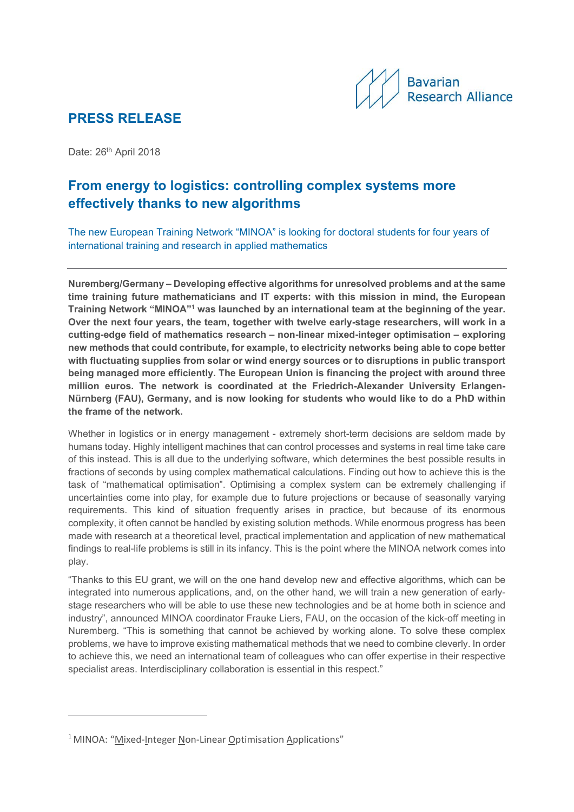

## **PRESS RELEASE**

Date: 26<sup>th</sup> April 2018

# **From energy to logistics: controlling complex systems more effectively thanks to new algorithms**

The new European Training Network "MINOA" is looking for doctoral students for four years of international training and research in applied mathematics

**Nuremberg/Germany – Developing effective algorithms for unresolved problems and at the same time training future mathematicians and IT experts: with this mission in mind, the European Training Network "MINOA"1 was launched by an international team at the beginning of the year. Over the next four years, the team, together with twelve early-stage researchers, will work in a cutting-edge field of mathematics research – non-linear mixed-integer optimisation – exploring new methods that could contribute, for example, to electricity networks being able to cope better with fluctuating supplies from solar or wind energy sources or to disruptions in public transport being managed more efficiently. The European Union is financing the project with around three million euros. The network is coordinated at the Friedrich-Alexander University Erlangen-Nürnberg (FAU), Germany, and is now looking for students who would like to do a PhD within the frame of the network.**

Whether in logistics or in energy management - extremely short-term decisions are seldom made by humans today. Highly intelligent machines that can control processes and systems in real time take care of this instead. This is all due to the underlying software, which determines the best possible results in fractions of seconds by using complex mathematical calculations. Finding out how to achieve this is the task of "mathematical optimisation". Optimising a complex system can be extremely challenging if uncertainties come into play, for example due to future projections or because of seasonally varying requirements. This kind of situation frequently arises in practice, but because of its enormous complexity, it often cannot be handled by existing solution methods. While enormous progress has been made with research at a theoretical level, practical implementation and application of new mathematical findings to real-life problems is still in its infancy. This is the point where the MINOA network comes into play.

"Thanks to this EU grant, we will on the one hand develop new and effective algorithms, which can be integrated into numerous applications, and, on the other hand, we will train a new generation of earlystage researchers who will be able to use these new technologies and be at home both in science and industry", announced MINOA coordinator Frauke Liers, FAU, on the occasion of the kick-off meeting in Nuremberg. "This is something that cannot be achieved by working alone. To solve these complex problems, we have to improve existing mathematical methods that we need to combine cleverly. In order to achieve this, we need an international team of colleagues who can offer expertise in their respective specialist areas. Interdisciplinary collaboration is essential in this respect."

<sup>&</sup>lt;sup>1</sup> MINOA: "Mixed-Integer Non-Linear Optimisation Applications"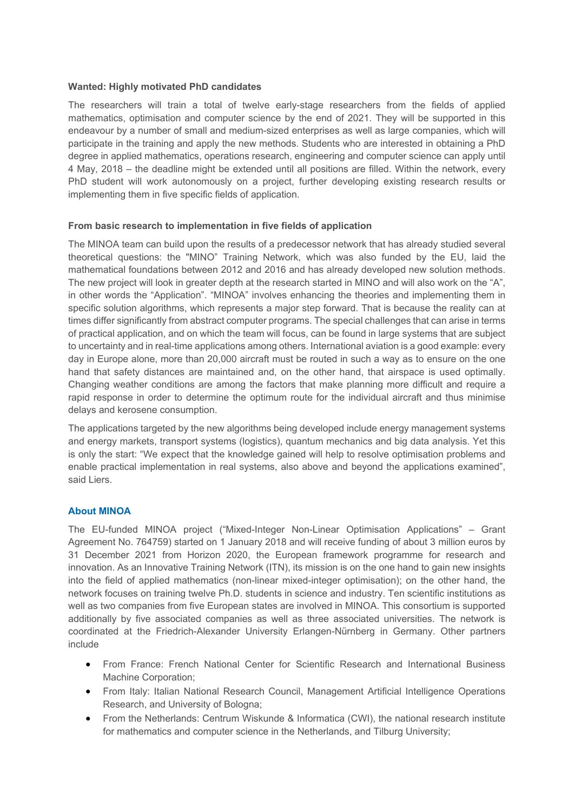### **Wanted: Highly motivated PhD candidates**

The researchers will train a total of twelve early-stage researchers from the fields of applied mathematics, optimisation and computer science by the end of 2021. They will be supported in this endeavour by a number of small and medium-sized enterprises as well as large companies, which will participate in the training and apply the new methods. Students who are interested in obtaining a PhD degree in applied mathematics, operations research, engineering and computer science can apply until 4 May, 2018 – the deadline might be extended until all positions are filled. Within the network, every PhD student will work autonomously on a project, further developing existing research results or implementing them in five specific fields of application.

### **From basic research to implementation in five fields of application**

The MINOA team can build upon the results of a predecessor network that has already studied several theoretical questions: the "MINO" Training Network, which was also funded by the EU, laid the mathematical foundations between 2012 and 2016 and has already developed new solution methods. The new project will look in greater depth at the research started in MINO and will also work on the "A", in other words the "Application". "MINOA" involves enhancing the theories and implementing them in specific solution algorithms, which represents a major step forward. That is because the reality can at times differ significantly from abstract computer programs. The special challenges that can arise in terms of practical application, and on which the team will focus, can be found in large systems that are subject to uncertainty and in real-time applications among others. International aviation is a good example: every day in Europe alone, more than 20,000 aircraft must be routed in such a way as to ensure on the one hand that safety distances are maintained and, on the other hand, that airspace is used optimally. Changing weather conditions are among the factors that make planning more difficult and require a rapid response in order to determine the optimum route for the individual aircraft and thus minimise delays and kerosene consumption.

The applications targeted by the new algorithms being developed include energy management systems and energy markets, transport systems (logistics), quantum mechanics and big data analysis. Yet this is only the start: "We expect that the knowledge gained will help to resolve optimisation problems and enable practical implementation in real systems, also above and beyond the applications examined", said Liers.

### **About MINOA**

The EU-funded MINOA project ("Mixed-Integer Non-Linear Optimisation Applications" – Grant Agreement No. 764759) started on 1 January 2018 and will receive funding of about 3 million euros by 31 December 2021 from Horizon 2020, the European framework programme for research and innovation. As an Innovative Training Network (ITN), its mission is on the one hand to gain new insights into the field of applied mathematics (non-linear mixed-integer optimisation); on the other hand, the network focuses on training twelve Ph.D. students in science and industry. Ten scientific institutions as well as two companies from five European states are involved in MINOA. This consortium is supported additionally by five associated companies as well as three associated universities. The network is coordinated at the Friedrich-Alexander University Erlangen-Nürnberg in Germany. Other partners include

- From France: French National Center for Scientific Research and International Business Machine Corporation;
- From Italy: Italian National Research Council, Management Artificial Intelligence Operations Research, and University of Bologna;
- From the Netherlands: Centrum Wiskunde & Informatica (CWI), the national research institute for mathematics and computer science in the Netherlands, and Tilburg University;